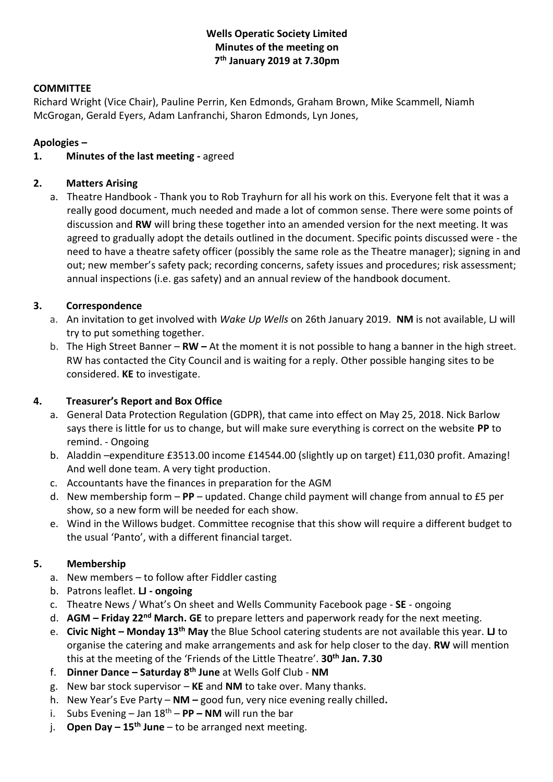# **Wells Operatic Society Limited Minutes of the meeting on 7 th January 2019 at 7.30pm**

### **COMMITTEE**

Richard Wright (Vice Chair), Pauline Perrin, Ken Edmonds, Graham Brown, Mike Scammell, Niamh McGrogan, Gerald Eyers, Adam Lanfranchi, Sharon Edmonds, Lyn Jones,

## **Apologies –**

## **1. Minutes of the last meeting -** agreed

## **2. Matters Arising**

a. Theatre Handbook - Thank you to Rob Trayhurn for all his work on this. Everyone felt that it was a really good document, much needed and made a lot of common sense. There were some points of discussion and **RW** will bring these together into an amended version for the next meeting. It was agreed to gradually adopt the details outlined in the document. Specific points discussed were - the need to have a theatre safety officer (possibly the same role as the Theatre manager); signing in and out; new member's safety pack; recording concerns, safety issues and procedures; risk assessment; annual inspections (i.e. gas safety) and an annual review of the handbook document.

## **3. Correspondence**

- a. An invitation to get involved with *Wake Up Wells* on 26th January 2019. **NM** is not available, LJ will try to put something together.
- b. The High Street Banner **RW –** At the moment it is not possible to hang a banner in the high street. RW has contacted the City Council and is waiting for a reply. Other possible hanging sites to be considered. **KE** to investigate.

### **4. Treasurer's Report and Box Office**

- a. General Data Protection Regulation (GDPR), that came into effect on May 25, 2018. Nick Barlow says there is little for us to change, but will make sure everything is correct on the website **PP** to remind. - Ongoing
- b. Aladdin –expenditure £3513.00 income £14544.00 (slightly up on target) £11,030 profit. Amazing! And well done team. A very tight production.
- c. Accountants have the finances in preparation for the AGM
- d. New membership form **PP** updated. Change child payment will change from annual to £5 per show, so a new form will be needed for each show.
- e. Wind in the Willows budget. Committee recognise that this show will require a different budget to the usual 'Panto', with a different financial target.

# **5. Membership**

- a. New members to follow after Fiddler casting
- b. Patrons leaflet. **LJ - ongoing**
- c. Theatre News / What's On sheet and Wells Community Facebook page **SE** ongoing
- d. **AGM – Friday 22nd March. GE** to prepare letters and paperwork ready for the next meeting.
- e. **Civic Night – Monday 13th May** the Blue School catering students are not available this year. **LJ** to organise the catering and make arrangements and ask for help closer to the day. **RW** will mention this at the meeting of the 'Friends of the Little Theatre'. **30th Jan. 7.30**
- f. **Dinner Dance – Saturday 8th June** at Wells Golf Club **NM**
- g. New bar stock supervisor **KE** and **NM** to take over. Many thanks.
- h. New Year's Eve Party **NM –** good fun, very nice evening really chilled**.**
- i. Subs Evening Jan 18th **PP – NM** will run the bar
- j. **Open Day – 15th June** to be arranged next meeting.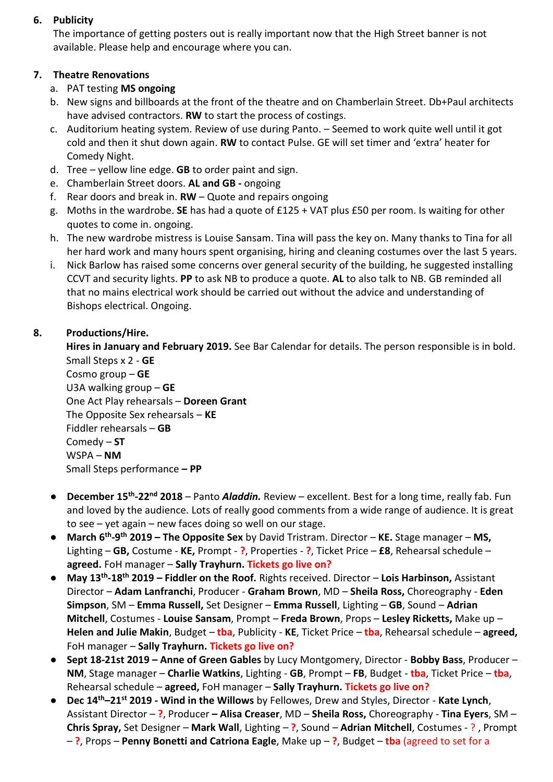## **6. Publicity**

The importance of getting posters out is really important now that the High Street banner is not available. Please help and encourage where you can.

# **7. Theatre Renovations**

- a. PAT testing **MS ongoing**
- b. New signs and billboards at the front of the theatre and on Chamberlain Street. Db+Paul architects have advised contractors. **RW** to start the process of costings.
- c. Auditorium heating system. Review of use during Panto. Seemed to work quite well until it got cold and then it shut down again. **RW** to contact Pulse. GE will set timer and 'extra' heater for Comedy Night.
- d. Tree yellow line edge. **GB** to order paint and sign.
- e. Chamberlain Street doors. **AL and GB -** ongoing
- f. Rear doors and break in. **RW** Quote and repairs ongoing
- g. Moths in the wardrobe. **SE** has had a quote of £125 + VAT plus £50 per room. Is waiting for other quotes to come in. ongoing.
- h. The new wardrobe mistress is Louise Sansam. Tina will pass the key on. Many thanks to Tina for all her hard work and many hours spent organising, hiring and cleaning costumes over the last 5 years.
- i. Nick Barlow has raised some concerns over general security of the building, he suggested installing CCVT and security lights. **PP** to ask NB to produce a quote. **AL** to also talk to NB. GB reminded all that no mains electrical work should be carried out without the advice and understanding of Bishops electrical. Ongoing.

# **8. Productions/Hire.**

**Hires in January and February 2019.** See Bar Calendar for details. The person responsible is in bold. Small Steps x 2 - **GE**

Cosmo group – **GE** U3A walking group – **GE** One Act Play rehearsals – **Doreen Grant** The Opposite Sex rehearsals – **KE** Fiddler rehearsals – **GB** Comedy – **ST** WSPA – **NM** Small Steps performance **– PP**

- **December 15th -22nd 2018** *–* Panto *Aladdin.* Review excellent. Best for a long time, really fab. Fun and loved by the audience. Lots of really good comments from a wide range of audience. It is great to see – yet again – new faces doing so well on our stage.
- **March 6th -9 th 2019 – The Opposite Sex** by David Tristram. Director **KE.** Stage manager **MS,**  Lighting – **GB,** Costume - **KE,** Prompt - **?**, Properties - **?**, Ticket Price – **£8**, Rehearsal schedule – **agreed.** FoH manager – **Sally Trayhurn. Tickets go live on?**
- **May 13th -18th 2019 – Fiddler on the Roof.** Rights received. Director **Lois Harbinson,** Assistant Director – **Adam Lanfranchi**, Producer - **Graham Brown**, MD – **Sheila Ross,** Choreography - **Eden Simpson**, SM – **Emma Russell,** Set Designer – **Emma Russell**, Lighting – **GB**, Sound – **Adrian Mitchell**, Costumes - **Louise Sansam**, Prompt – **Freda Brown**, Props – **Lesley Ricketts,** Make up – **Helen and Julie Makin**, Budget – **tba**, Publicity - **KE**, Ticket Price – **tba**, Rehearsal schedule – **agreed,**  FoH manager – **Sally Trayhurn. Tickets go live on?**
- **Sept 18-21st 2019 – Anne of Green Gables** by Lucy Montgomery, Director **Bobby Bass**, Producer **NM**, Stage manager – **Charlie Watkins**, Lighting - **GB**, Prompt – **FB**, Budget - **tba**, Ticket Price – **tba**, Rehearsal schedule – **agreed,** FoH manager – **Sally Trayhurn. Tickets go live on?**
- **Dec 14th–21st 2019 - Wind in the Willows** by Fellowes, Drew and Styles, Director **Kate Lynch**, Assistant Director – **?**, Producer **– Alisa Creaser**, MD – **Sheila Ross,** Choreography - **Tina Eyers**, SM – **Chris Spray,** Set Designer – **Mark Wall**, Lighting – **?**, Sound – **Adrian Mitchell**, Costumes - ? , Prompt – **?**, Props – **Penny Bonetti and Catriona Eagle**, Make up – **?**, Budget – **tba** (agreed to set for a